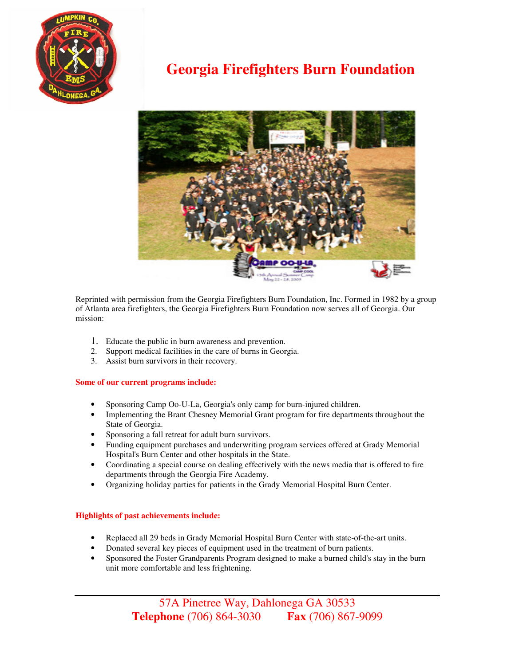

## **Georgia Firefighters Burn Foundation**



Reprinted with permission from the Georgia Firefighters Burn Foundation, Inc. Formed in 1982 by a group of Atlanta area firefighters, the Georgia Firefighters Burn Foundation now serves all of Georgia. Our mission:

- 1. Educate the public in burn awareness and prevention.
- 2. Support medical facilities in the care of burns in Georgia.
- 3. Assist burn survivors in their recovery.

## **Some of our current programs include:**

- Sponsoring Camp Oo-U-La, Georgia's only camp for burn-injured children.
- Implementing the Brant Chesney Memorial Grant program for fire departments throughout the State of Georgia.
- Sponsoring a fall retreat for adult burn survivors.
- Funding equipment purchases and underwriting program services offered at Grady Memorial Hospital's Burn Center and other hospitals in the State.
- Coordinating a special course on dealing effectively with the news media that is offered to fire departments through the Georgia Fire Academy.
- Organizing holiday parties for patients in the Grady Memorial Hospital Burn Center.

## **Highlights of past achievements include:**

- Replaced all 29 beds in Grady Memorial Hospital Burn Center with state-of-the-art units.
- Donated several key pieces of equipment used in the treatment of burn patients.
- Sponsored the Foster Grandparents Program designed to make a burned child's stay in the burn unit more comfortable and less frightening.